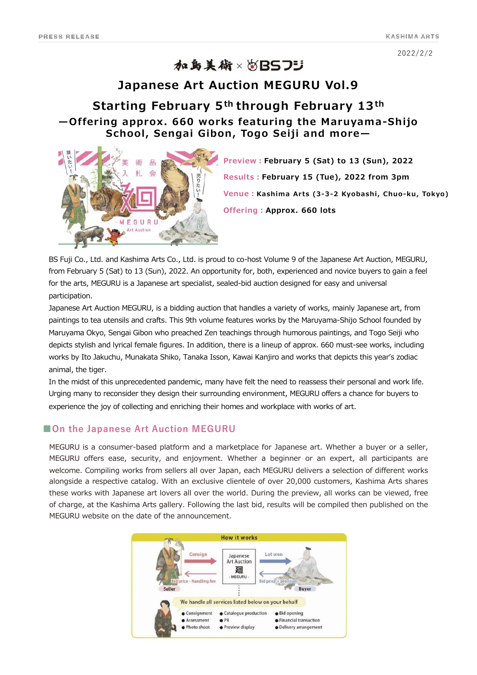2022/2/2

# 加岛美術×2BS75

### **Japanese Art Auction MEGURU Vol.9**

# **Starting February 5th through February 13th ̶Offering approx. 660 works featuring the Maruyama-Shijo School, Sengai Gibon, Togo Seiji and more̶**



**Preview︓February 5 (Sat) to 13 (Sun), 2022 Results︓February 15 (Tue), 2022 from 3pm Venue︓Kashima Arts (3-3-2 Kyobashi, Chuo-ku, Tokyo) Offering︓Approx. 660 lots**

BS Fuji Co., Ltd. and Kashima Arts Co., Ltd. is proud to co-host Volume 9 of the Japanese Art Auction, MEGURU, from February 5 (Sat) to 13 (Sun), 2022. An opportunity for, both, experienced and novice buyers to gain a feel for the arts, MEGURU is a Japanese art specialist, sealed-bid auction designed for easy and universal participation.

Japanese Art Auction MEGURU, is a bidding auction that handles a variety of works, mainly Japanese art, from paintings to tea utensils and crafts. This 9th volume features works by the Maruyama-Shijo School founded by Maruyama Okyo, Sengai Gibon who preached Zen teachings through humorous paintings, and Togo Seiji who depicts stylish and lyrical female figures. In addition, there is a lineup of approx. 660 must-see works, including works by Ito Jakuchu, Munakata Shiko, Tanaka Isson, Kawai Kanjiro and works that depicts this year's zodiac animal, the tiger.

In the midst of this unprecedented pandemic, many have felt the need to reassess their personal and work life. Urging many to reconsider they design their surrounding environment, MEGURU offers a chance for buyers to experience the joy of collecting and enriching their homes and workplace with works of art.

### **■On the Japanese Art Auction MEGURU**

MEGURU is a consumer-based platform and a marketplace for Japanese art. Whether a buyer or a seller, MEGURU offers ease, security, and enjoyment. Whether a beginner or an expert, all participants are welcome. Compiling works from sellers all over Japan, each MEGURU delivers a selection of different works alongside a respective catalog. With an exclusive clientele of over 20,000 customers, Kashima Arts shares these works with Japanese art lovers all over the world. During the preview, all works can be viewed, free of charge, at the Kashima Arts gallery. Following the last bid, results will be compiled then published on the MEGURU website on the date of the announcement.

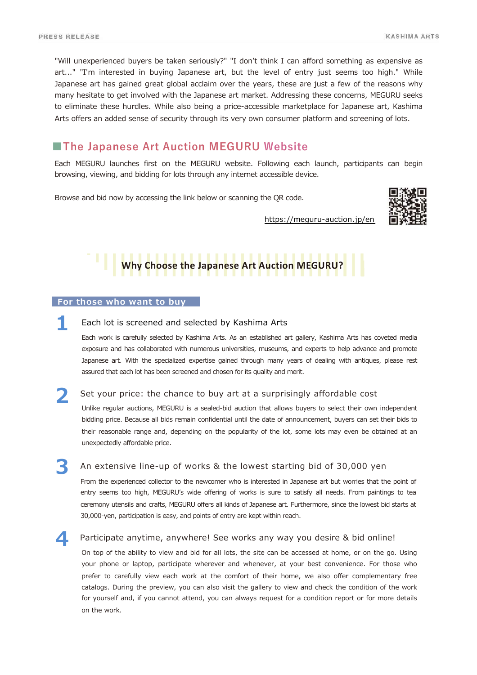"Will unexperienced buyers be taken seriously?" "I don't think I can afford something as expensive as art..." "I'm interested in buying Japanese art, but the level of entry just seems too high." While Japanese art has gained great global acclaim over the years, these are just a few of the reasons why many hesitate to get involved with the Japanese art market. Addressing these concerns, MEGURU seeks to eliminate these hurdles. While also being a price-accessible marketplace for Japanese art, Kashima Arts offers an added sense of security through its very own consumer platform and screening of lots.

# **■The Japanese Art Auction MEGURU Website**

Each MEGURU launches first on the MEGURU website. Following each launch, participants can begin browsing, viewing, and bidding for lots through any internet accessible device.

Browse and bid now by accessing the link below or scanning the QR code.



https://meguru-auction.jp/en

# **Why Choose the Japanese Art Auction MEGURU?**

#### **For those who want to buy**

Each lot is screened and selected by Kashima Arts **1**

Each work is carefully selected by Kashima Arts. As an established art gallery, Kashima Arts has coveted media exposure and has collaborated with numerous universities, museums, and experts to help advance and promote Japanese art. With the specialized expertise gained through many years of dealing with antiques, please rest assured that each lot has been screened and chosen for its quality and merit.

Set your price: the chance to buy art at a surprisingly affordable cost **2**

Unlike regular auctions, MEGURU is a sealed-bid auction that allows buyers to select their own independent bidding price. Because all bids remain confidential until the date of announcement, buyers can set their bids to their reasonable range and, depending on the popularity of the lot, some lots may even be obtained at an unexpectedly affordable price.

An extensive line-up of works & the lowest starting bid of 30,000 yen **3**

From the experienced collector to the newcomer who is interested in Japanese art but worries that the point of entry seems too high, MEGURU's wide offering of works is sure to satisfy all needs. From paintings to tea ceremony utensils and crafts, MEGURU offers all kinds of Japanese art. Furthermore, since the lowest bid starts at 30,000-yen, participation is easy, and points of entry are kept within reach.

**4** Participate anytime, anywhere! See works any way you desire & bid online!

On top of the ability to view and bid for all lots, the site can be accessed at home, or on the go. Using your phone or laptop, participate wherever and whenever, at your best convenience. For those who prefer to carefully view each work at the comfort of their home, we also offer complementary free catalogs. During the preview, you can also visit the gallery to view and check the condition of the work for yourself and, if you cannot attend, you can always request for a condition report or for more details on the work.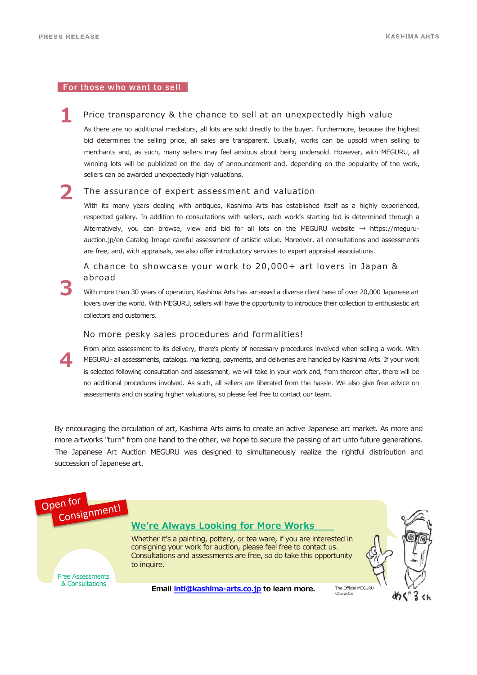**3**

**4**

#### **For those who want to sell**

Price transparency & the chance to sell at an unexpectedly high value **1**

As there are no additional mediators, all lots are sold directly to the buyer. Furthermore, because the highest bid determines the selling price, all sales are transparent. Usually, works can be upsold when selling to merchants and, as such, many sellers may feel anxious about being undersold. However, with MEGURU, all winning lots will be publicized on the day of announcement and, depending on the popularity of the work, sellers can be awarded unexpectedly high valuations.

#### The assurance of expert assessment and valuation **2**

With its many years dealing with antiques, Kashima Arts has established itself as a highly experienced, respected gallery. In addition to consultations with sellers, each work's starting bid is determined through a Alternatively, you can browse, view and bid for all lots on the MEGURU website  $→$  https://meguruauction.jp/en Catalog Image careful assessment of artistic value. Moreover, all consultations and assessments are free, and, with appraisals, we also offer introductory services to expert appraisal associations.

A chance to showcase your work to 20,000+ art lovers in Japan & abroad

With more than 30 years of operation, Kashima Arts has amassed a diverse client base of over 20,000 Japanese art lovers over the world. With MEGURU, sellers will have the opportunity to introduce their collection to enthusiastic art collectors and customers.

#### No more pesky sales procedures and formalities!

From price assessment to its delivery, there's plenty of necessary procedures involved when selling a work. With MEGURU- all assessments, catalogs, marketing, payments, and deliveries are handled by Kashima Arts. If your work is selected following consultation and assessment, we will take in your work and, from thereon after, there will be no additional procedures involved. As such, all sellers are liberated from the hassle. We also give free advice on assessments and on scaling higher valuations, so please feel free to contact our team.

By encouraging the circulation of art, Kashima Arts aims to create an active Japanese art market. As more and more artworks "turn" from one hand to the other, we hope to secure the passing of art unto future generations. The Japanese Art Auction MEGURU was designed to simultaneously realize the rightful distribution and succession of Japanese art.

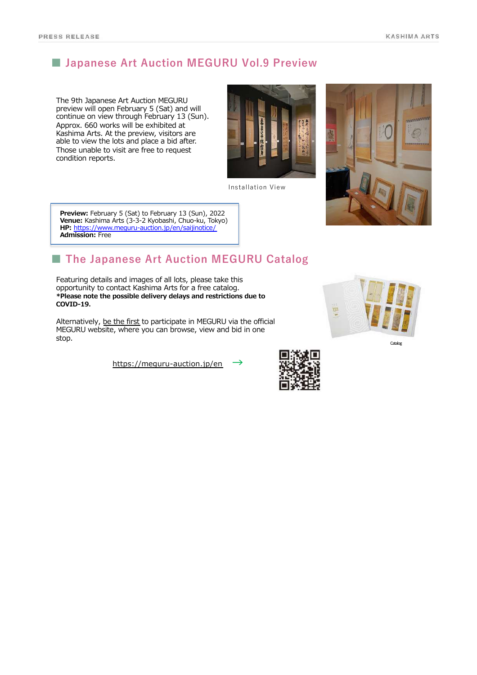# **■ Japanese Art Auction MEGURU Vol.9 Preview**

The 9th Japanese Art Auction MEGURU preview will open February 5 (Sat) and will continue on view through February 13 (Sun). Approx. 660 works will be exhibited at Kashima Arts. At the preview, visitors are able to view the lots and place a bid after. Those unable to visit are free to request condition reports.



Installation View



**Preview:** February 5 (Sat) to February 13 (Sun), 2022 **Venue:** Kashima Arts (3-3-2 Kyobashi, Chuo-ku, Tokyo) **HP:** [https://www.meguru-auction.jp/en/saijinoti](https:///)ce/ **Admission:** Free

# **■ The Japanese Art Auction MEGURU Catalog**

Featuring details and images of all lots, please take this opportunity to contact Kashima Arts for a free catalog. **\*Please note the possible delivery delays and restrictions due to COVID-19.** 

Alternatively, be the first to participate in MEGURU via the official MEGURU website, where you can browse, view and bid in one stop.

[https://meguru-auction.jp/](https://meguru-auction.jp/en)en **→**

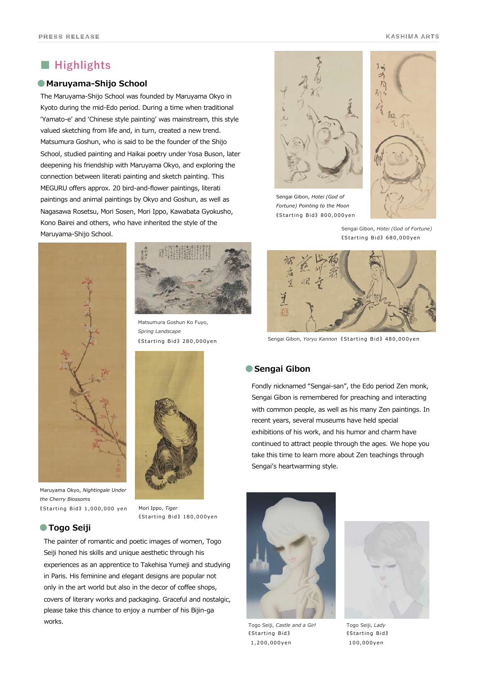## **■ Highlights**

#### ●**Maruyama-Shijo School**

The Maruyama-Shijo School was founded by Maruyama Okyo in Kyoto during the mid-Edo period. During a time when traditional ʻYamato-e' and ʻChinese style painting' was mainstream, this style valued sketching from life and, in turn, created a new trend. Matsumura Goshun, who is said to be the founder of the Shijo School, studied painting and Haikai poetry under Yosa Buson, later deepening his friendship with Maruyama Okyo, and exploring the connection between literati painting and sketch painting. This MEGURU offers approx. 20 bird-and-flower paintings, literati paintings and animal paintings by Okyo and Goshun, as well as Nagasawa Rosetsu, Mori Sosen, Mori Ippo, Kawabata Gyokusho, Kono Bairei and others, who have inherited the style of the Maruyama-Shijo School.



**●Togo Seiji**

*the Cherry Blossoms*



Matsumura Goshun Ko Fuyo, *Spring Landscape*



《Starting Bid 》 1,000,000 yen Mori Ippo, *Tiger* 《Starting Bid 》 180,000yen

The painter of romantic and poetic images of women, Togo Seiji honed his skills and unique aesthetic through his experiences as an apprentice to Takehisa Yumeji and studying in Paris. His feminine and elegant designs are popular not only in the art world but also in the decor of coffee shops, covers of literary works and packaging. Graceful and nostalgic, please take this chance to enjoy a number of his Bijin-ga works.



Sengai Gibon, *Hotei (God of Fortune) Pointing to the Moon* 《Starting Bid 》 800,000yen



Sengai Gibon, *Hotei (God of Fortune)* 《Starting Bid 》 680,000yen



《Starting Bid 》 280,000yen Sengai Gibon, *Yoryu Kannon* 《Starting Bid 》 480,000yen

#### ●**Sengai Gibon**

Fondly nicknamed "Sengai-san", the Edo period Zen monk, Sengai Gibon is remembered for preaching and interacting with common people, as well as his many Zen paintings. In recent years, several museums have held special exhibitions of his work, and his humor and charm have continued to attract people through the ages. We hope you take this time to learn more about Zen teachings through Sengai's heartwarming style.



Togo Seiji, *Castle and a Girl* 《Starting Bid 》 1,200,000yen



Togo Seiji, *Lady* 《Starting Bid 》 100,000yen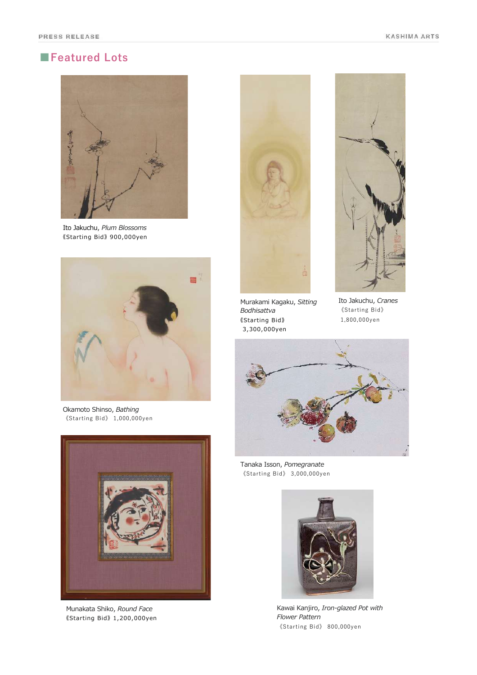# **■Featured Lots**



Ito Jakuchu, *Plum Blossoms* 《Starting Bid》 900,000yen



Okamoto Shinso, *Bathing* 《Starting Bid》 1,000,000yen



Munakata Shiko, *Round Face* 《Starting Bid》 1,200,000yen





Murakami Kagaku, *Sitting Bodhisattva* 《Starting Bid》 3,300,000yen

Ito Jakuchu, *Cranes* 《Starting Bid》 1,800,000yen



Tanaka Isson, *Pomegranate* 《Starting Bid》 3,000,000yen



Kawai Kanjiro, *Iron-glazed Pot with Flower Pattern* 《Starting Bid》 800,000yen